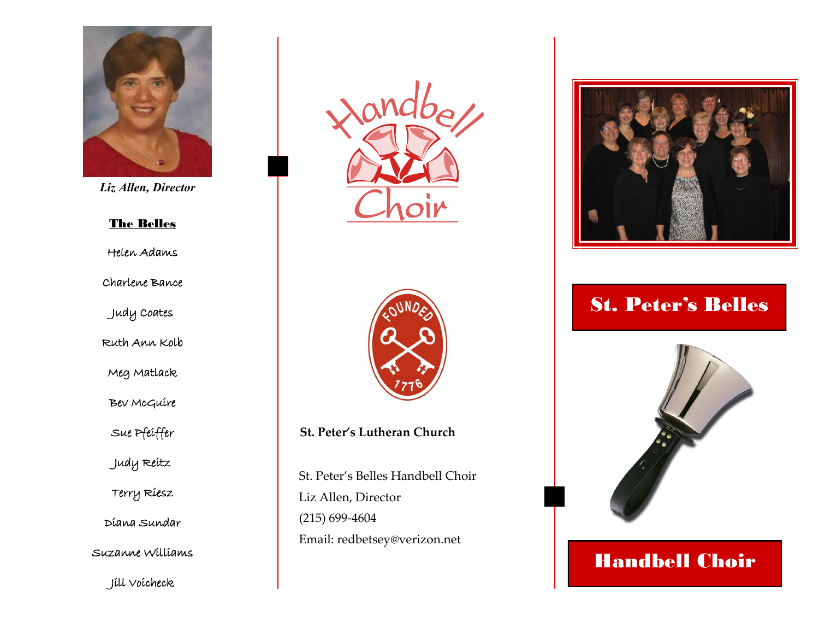

*Liz Allen, Director*

#### The Belles

Helen Adams

Charlene Bance

Judy Coates

Ruth Ann Kolb

Meg Matlack

Bev McGuire

Sue Pfeiffer

Judy Reitz

Terry Riesz

Diana Sundar

Suzanne Williams

Jill Voicheck





**St. Peter's Lutheran Church**

St. Peter's Belles Handbell Choir Liz Allen, Director (215) 699-4604 Email: redbetsey@verizon.net



# St. Peter's Belles



# Handbell Choir